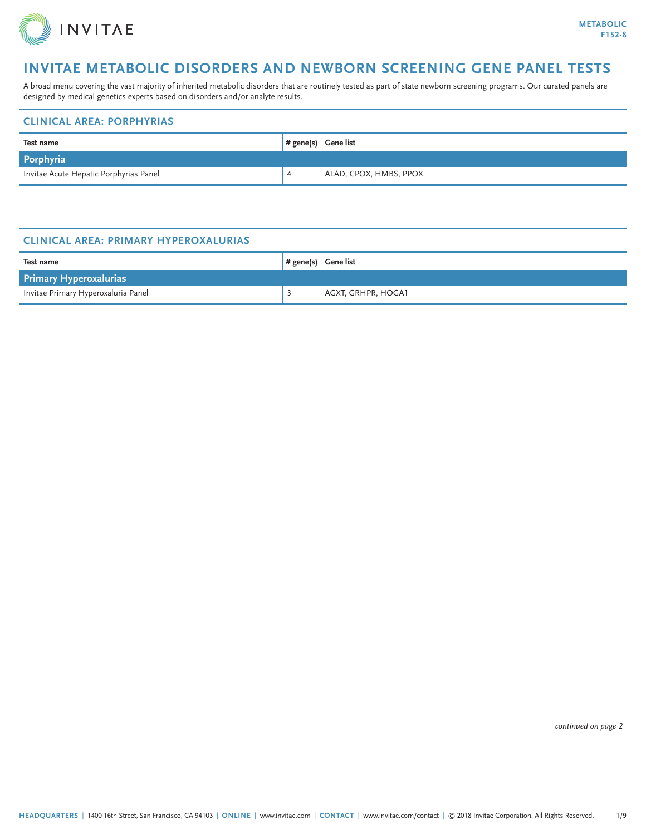

A broad menu covering the vast majority of inherited metabolic disorders that are routinely tested as part of state newborn screening programs. Our curated panels are designed by medical genetics experts based on disorders and/or analyte results.

#### **CLINICAL AREA: PORPHYRIAS**

| Test name                              | $#$ gene(s) Gene list |                        |  |  |
|----------------------------------------|-----------------------|------------------------|--|--|
| Porphyria                              |                       |                        |  |  |
| Invitae Acute Hepatic Porphyrias Panel |                       | ALAD, CPOX, HMBS, PPOX |  |  |

#### **CLINICAL AREA: PRIMARY HYPEROXALURIAS**

| Test name                           |  | $#$ gene(s) Gene list |  |  |
|-------------------------------------|--|-----------------------|--|--|
| <b>Primary Hyperoxalurias</b>       |  |                       |  |  |
| Invitae Primary Hyperoxaluria Panel |  | AGXT, GRHPR, HOGA1    |  |  |

*continued on page 2*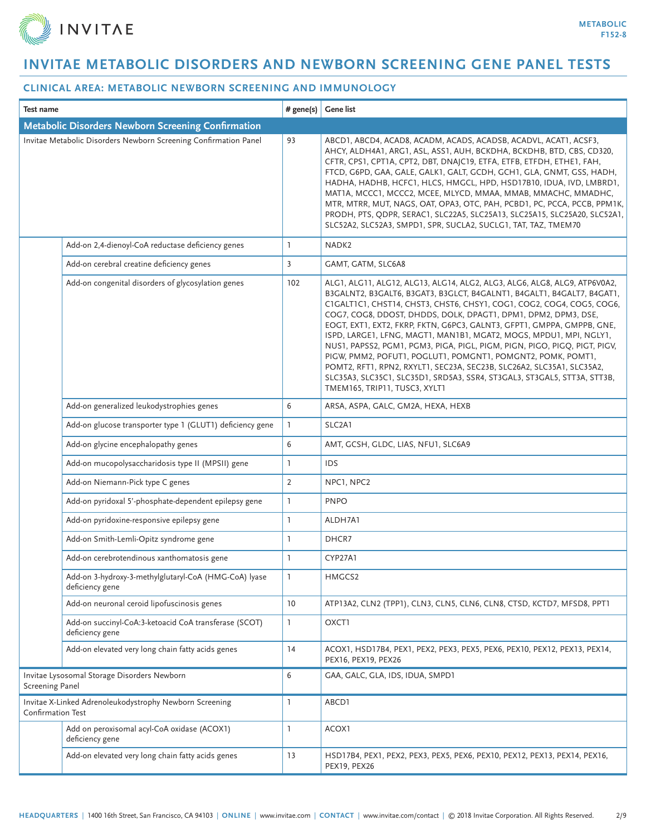

| Test name                                                                           |                                                                          | # gene(s)      | <b>Gene list</b>                                                                                                                                                                                                                                                                                                                                                                                                                                                                                                                                                                                                                                                                                                                                                                 |  |
|-------------------------------------------------------------------------------------|--------------------------------------------------------------------------|----------------|----------------------------------------------------------------------------------------------------------------------------------------------------------------------------------------------------------------------------------------------------------------------------------------------------------------------------------------------------------------------------------------------------------------------------------------------------------------------------------------------------------------------------------------------------------------------------------------------------------------------------------------------------------------------------------------------------------------------------------------------------------------------------------|--|
| <b>Metabolic Disorders Newborn Screening Confirmation</b>                           |                                                                          |                |                                                                                                                                                                                                                                                                                                                                                                                                                                                                                                                                                                                                                                                                                                                                                                                  |  |
|                                                                                     | Invitae Metabolic Disorders Newborn Screening Confirmation Panel         | 93             | ABCD1, ABCD4, ACAD8, ACADM, ACADS, ACADSB, ACADVL, ACAT1, ACSF3,<br>AHCY, ALDH4A1, ARG1, ASL, ASS1, AUH, BCKDHA, BCKDHB, BTD, CBS, CD320,<br>CFTR, CPS1, CPT1A, CPT2, DBT, DNAJC19, ETFA, ETFB, ETFDH, ETHE1, FAH,<br>FTCD, G6PD, GAA, GALE, GALK1, GALT, GCDH, GCH1, GLA, GNMT, GSS, HADH,<br>HADHA, HADHB, HCFC1, HLCS, HMGCL, HPD, HSD17B10, IDUA, IVD, LMBRD1,<br>MATIA, MCCC1, MCCC2, MCEE, MLYCD, MMAA, MMAB, MMACHC, MMADHC,<br>MTR, MTRR, MUT, NAGS, OAT, OPA3, OTC, PAH, PCBD1, PC, PCCA, PCCB, PPM1K,<br>PRODH, PTS, QDPR, SERAC1, SLC22A5, SLC25A13, SLC25A15, SLC25A20, SLC52A1,<br>SLC52A2, SLC52A3, SMPD1, SPR, SUCLA2, SUCLG1, TAT, TAZ, TMEM70                                                                                                                   |  |
|                                                                                     | Add-on 2,4-dienoyl-CoA reductase deficiency genes                        | $\mathbf{1}$   | NADK <sub>2</sub>                                                                                                                                                                                                                                                                                                                                                                                                                                                                                                                                                                                                                                                                                                                                                                |  |
|                                                                                     | Add-on cerebral creatine deficiency genes                                | $\overline{3}$ | GAMT, GATM, SLC6A8                                                                                                                                                                                                                                                                                                                                                                                                                                                                                                                                                                                                                                                                                                                                                               |  |
|                                                                                     | Add-on congenital disorders of glycosylation genes                       | 102            | ALG1, ALG11, ALG12, ALG13, ALG14, ALG2, ALG3, ALG6, ALG8, ALG9, ATP6V0A2,<br>B3GALNT2, B3GALT6, B3GAT3, B3GLCT, B4GALNT1, B4GALT1, B4GALT7, B4GAT1,<br>CIGALTICI, CHST14, CHST3, CHST6, CHSY1, COG1, COG2, COG4, COG5, COG6,<br>COG7, COG8, DDOST, DHDDS, DOLK, DPAGT1, DPM1, DPM2, DPM3, DSE,<br>EOGT, EXT1, EXT2, FKRP, FKTN, G6PC3, GALNT3, GFPT1, GMPPA, GMPPB, GNE,<br>ISPD, LARGE1, LFNG, MAGT1, MAN1B1, MGAT2, MOGS, MPDU1, MPI, NGLY1,<br>NUS1, PAPSS2, PGM1, PGM3, PIGA, PIGL, PIGM, PIGN, PIGO, PIGQ, PIGT, PIGV,<br>PIGW, PMM2, POFUT1, POGLUT1, POMGNT1, POMGNT2, POMK, POMT1,<br>POMT2, RFT1, RPN2, RXYLT1, SEC23A, SEC23B, SLC26A2, SLC35A1, SLC35A2,<br>SLC35A3, SLC35C1, SLC35D1, SRD5A3, SSR4, ST3GAL3, ST3GAL5, STT3A, STT3B,<br>TMEM165, TRIP11, TUSC3, XYLT1 |  |
|                                                                                     | Add-on generalized leukodystrophies genes                                | 6              | ARSA, ASPA, GALC, GM2A, HEXA, HEXB                                                                                                                                                                                                                                                                                                                                                                                                                                                                                                                                                                                                                                                                                                                                               |  |
|                                                                                     | Add-on glucose transporter type 1 (GLUT1) deficiency gene                | $\mathbf{1}$   | SLC2A1                                                                                                                                                                                                                                                                                                                                                                                                                                                                                                                                                                                                                                                                                                                                                                           |  |
|                                                                                     | Add-on glycine encephalopathy genes                                      | 6              | AMT, GCSH, GLDC, LIAS, NFU1, SLC6A9                                                                                                                                                                                                                                                                                                                                                                                                                                                                                                                                                                                                                                                                                                                                              |  |
|                                                                                     | Add-on mucopolysaccharidosis type II (MPSII) gene                        | $\mathbf{1}$   | IDS                                                                                                                                                                                                                                                                                                                                                                                                                                                                                                                                                                                                                                                                                                                                                                              |  |
|                                                                                     | Add-on Niemann-Pick type C genes                                         | $\overline{2}$ | NPC1, NPC2                                                                                                                                                                                                                                                                                                                                                                                                                                                                                                                                                                                                                                                                                                                                                                       |  |
|                                                                                     | Add-on pyridoxal 5'-phosphate-dependent epilepsy gene                    | $\mathbf{1}$   | <b>PNPO</b>                                                                                                                                                                                                                                                                                                                                                                                                                                                                                                                                                                                                                                                                                                                                                                      |  |
|                                                                                     | Add-on pyridoxine-responsive epilepsy gene                               | $\mathbf{1}$   | ALDH7A1                                                                                                                                                                                                                                                                                                                                                                                                                                                                                                                                                                                                                                                                                                                                                                          |  |
|                                                                                     | Add-on Smith-Lemli-Opitz syndrome gene                                   | $\mathbf{1}$   | DHCR7                                                                                                                                                                                                                                                                                                                                                                                                                                                                                                                                                                                                                                                                                                                                                                            |  |
|                                                                                     | Add-on cerebrotendinous xanthomatosis gene                               | $\mathbf{1}$   | CYP27A1                                                                                                                                                                                                                                                                                                                                                                                                                                                                                                                                                                                                                                                                                                                                                                          |  |
|                                                                                     | Add-on 3-hydroxy-3-methylglutaryl-CoA (HMG-CoA) lyase<br>deficiency gene | 1              | HMGCS2                                                                                                                                                                                                                                                                                                                                                                                                                                                                                                                                                                                                                                                                                                                                                                           |  |
|                                                                                     | Add-on neuronal ceroid lipofuscinosis genes                              | 10             | ATP13A2, CLN2 (TPP1), CLN3, CLN5, CLN6, CLN8, CTSD, KCTD7, MFSD8, PPT1                                                                                                                                                                                                                                                                                                                                                                                                                                                                                                                                                                                                                                                                                                           |  |
|                                                                                     | Add-on succinyl-CoA:3-ketoacid CoA transferase (SCOT)<br>deficiency gene | $\mathbf{I}$   | OXCT1                                                                                                                                                                                                                                                                                                                                                                                                                                                                                                                                                                                                                                                                                                                                                                            |  |
|                                                                                     | Add-on elevated very long chain fatty acids genes                        | 14             | ACOX1, HSD17B4, PEX1, PEX2, PEX3, PEX5, PEX6, PEX10, PEX12, PEX13, PEX14,<br>PEX16, PEX19, PEX26                                                                                                                                                                                                                                                                                                                                                                                                                                                                                                                                                                                                                                                                                 |  |
| <b>Screening Panel</b>                                                              | Invitae Lysosomal Storage Disorders Newborn                              | 6              | GAA, GALC, GLA, IDS, IDUA, SMPD1                                                                                                                                                                                                                                                                                                                                                                                                                                                                                                                                                                                                                                                                                                                                                 |  |
| Invitae X-Linked Adrenoleukodystrophy Newborn Screening<br><b>Confirmation Test</b> |                                                                          | $\mathbf{1}$   | ABCD1                                                                                                                                                                                                                                                                                                                                                                                                                                                                                                                                                                                                                                                                                                                                                                            |  |
|                                                                                     | Add on peroxisomal acyl-CoA oxidase (ACOX1)<br>deficiency gene           | $\mathbf{1}$   | ACOX1                                                                                                                                                                                                                                                                                                                                                                                                                                                                                                                                                                                                                                                                                                                                                                            |  |
|                                                                                     | Add-on elevated very long chain fatty acids genes                        | 13             | HSD17B4, PEX1, PEX2, PEX3, PEX5, PEX6, PEX10, PEX12, PEX13, PEX14, PEX16,<br>PEX19, PEX26                                                                                                                                                                                                                                                                                                                                                                                                                                                                                                                                                                                                                                                                                        |  |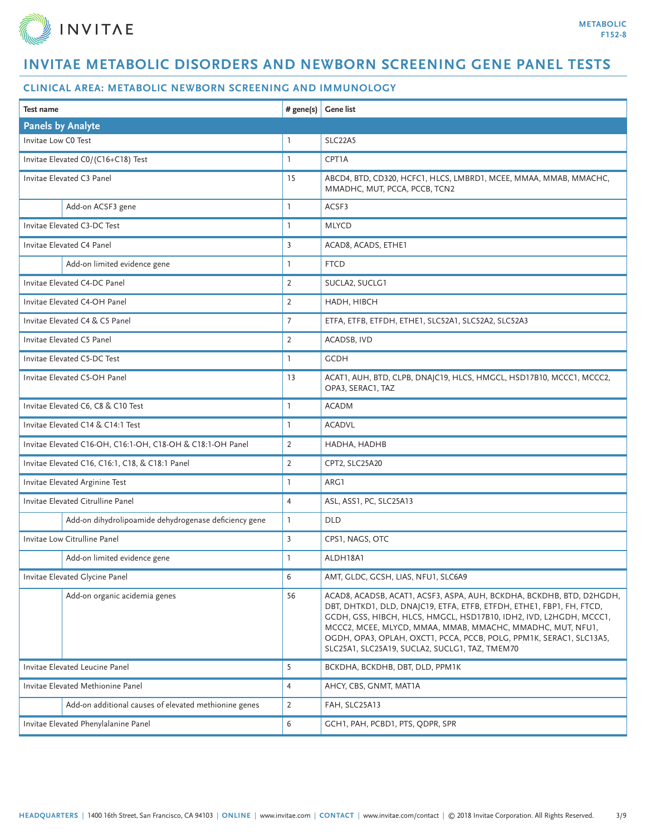

| Test name                                                  |                                                       | $#$ gene(s)     | Gene list                                                                                                                                                                                                                                                                                                                                                                                                 |
|------------------------------------------------------------|-------------------------------------------------------|-----------------|-----------------------------------------------------------------------------------------------------------------------------------------------------------------------------------------------------------------------------------------------------------------------------------------------------------------------------------------------------------------------------------------------------------|
| <b>Panels by Analyte</b>                                   |                                                       |                 |                                                                                                                                                                                                                                                                                                                                                                                                           |
| Invitae Low CO Test                                        |                                                       | 1               | SLC22A5                                                                                                                                                                                                                                                                                                                                                                                                   |
| Invitae Elevated C0/(C16+C18) Test                         |                                                       | $\mathbf{1}$    | CPT1A                                                                                                                                                                                                                                                                                                                                                                                                     |
| Invitae Elevated C3 Panel                                  |                                                       | 15              | ABCD4, BTD, CD320, HCFC1, HLCS, LMBRD1, MCEE, MMAA, MMAB, MMACHC,<br>MMADHC, MUT, PCCA, PCCB, TCN2                                                                                                                                                                                                                                                                                                        |
|                                                            | Add-on ACSF3 gene                                     | L               | ACSF3                                                                                                                                                                                                                                                                                                                                                                                                     |
| Invitae Elevated C3-DC Test                                |                                                       | <b>T</b>        | <b>MLYCD</b>                                                                                                                                                                                                                                                                                                                                                                                              |
| Invitae Elevated C4 Panel                                  |                                                       | $\overline{3}$  | ACAD8, ACADS, ETHE1                                                                                                                                                                                                                                                                                                                                                                                       |
|                                                            | Add-on limited evidence gene                          | 1               | <b>FTCD</b>                                                                                                                                                                                                                                                                                                                                                                                               |
| Invitae Elevated C4-DC Panel                               |                                                       | $\overline{2}$  | SUCLA2, SUCLG1                                                                                                                                                                                                                                                                                                                                                                                            |
| Invitae Elevated C4-OH Panel                               |                                                       | $\overline{2}$  | HADH, HIBCH                                                                                                                                                                                                                                                                                                                                                                                               |
| Invitae Elevated C4 & C5 Panel                             |                                                       | $7\overline{ }$ | ETFA, ETFB, ETFDH, ETHE1, SLC52A1, SLC52A2, SLC52A3                                                                                                                                                                                                                                                                                                                                                       |
| Invitae Elevated C5 Panel                                  |                                                       | $\overline{2}$  | ACADSB, IVD                                                                                                                                                                                                                                                                                                                                                                                               |
| Invitae Elevated C5-DC Test                                |                                                       | $\mathbf{1}$    | <b>GCDH</b>                                                                                                                                                                                                                                                                                                                                                                                               |
| Invitae Elevated C5-OH Panel                               |                                                       | 13              | ACAT1, AUH, BTD, CLPB, DNAJC19, HLCS, HMGCL, HSD17B10, MCCC1, MCCC2,<br>OPA3, SERAC1, TAZ                                                                                                                                                                                                                                                                                                                 |
| Invitae Elevated C6, C8 & C10 Test                         |                                                       | $\mathbf{1}$    | <b>ACADM</b>                                                                                                                                                                                                                                                                                                                                                                                              |
| Invitae Elevated C14 & C14:1 Test                          |                                                       | $\mathbf{1}$    | <b>ACADVL</b>                                                                                                                                                                                                                                                                                                                                                                                             |
| Invitae Elevated C16-OH, C16:1-OH, C18-OH & C18:1-OH Panel |                                                       | $\overline{2}$  | HADHA, HADHB                                                                                                                                                                                                                                                                                                                                                                                              |
| Invitae Elevated C16, C16:1, C18, & C18:1 Panel            |                                                       | $\overline{2}$  | CPT2, SLC25A20                                                                                                                                                                                                                                                                                                                                                                                            |
| Invitae Elevated Arginine Test                             |                                                       | $\mathbf{1}$    | ARG1                                                                                                                                                                                                                                                                                                                                                                                                      |
| Invitae Elevated Citrulline Panel                          |                                                       | $\overline{4}$  | ASL, ASS1, PC, SLC25A13                                                                                                                                                                                                                                                                                                                                                                                   |
|                                                            | Add-on dihydrolipoamide dehydrogenase deficiency gene | $\mathbf{1}$    | <b>DLD</b>                                                                                                                                                                                                                                                                                                                                                                                                |
| Invitae Low Citrulline Panel                               |                                                       | $\overline{3}$  | CPS1, NAGS, OTC                                                                                                                                                                                                                                                                                                                                                                                           |
|                                                            | Add-on limited evidence gene                          | ı               | ALDH18A1                                                                                                                                                                                                                                                                                                                                                                                                  |
| Invitae Elevated Glycine Panel                             |                                                       | 6               | AMT, GLDC, GCSH, LIAS, NFU1, SLC6A9                                                                                                                                                                                                                                                                                                                                                                       |
|                                                            | Add-on organic acidemia genes                         | 56              | ACAD8, ACADSB, ACAT1, ACSF3, ASPA, AUH, BCKDHA, BCKDHB, BTD, D2HGDH,<br>DBT, DHTKD1, DLD, DNAJC19, ETFA, ETFB, ETFDH, ETHE1, FBP1, FH, FTCD,<br>GCDH, GSS, HIBCH, HLCS, HMGCL, HSD17B10, IDH2, IVD, L2HGDH, MCCC1,<br>MCCC2, MCEE, MLYCD, MMAA, MMAB, MMACHC, MMADHC, MUT, NFU1,<br>OGDH, OPA3, OPLAH, OXCT1, PCCA, PCCB, POLG, PPM1K, SERAC1, SLC13A5,<br>SLC25A1, SLC25A19, SUCLA2, SUCLG1, TAZ, TMEM70 |
| Invitae Elevated Leucine Panel                             |                                                       | 5               | BCKDHA, BCKDHB, DBT, DLD, PPM1K                                                                                                                                                                                                                                                                                                                                                                           |
| Invitae Elevated Methionine Panel                          |                                                       | $\overline{4}$  | AHCY, CBS, GNMT, MAT1A                                                                                                                                                                                                                                                                                                                                                                                    |
|                                                            | Add-on additional causes of elevated methionine genes | $\overline{2}$  | FAH, SLC25A13                                                                                                                                                                                                                                                                                                                                                                                             |
|                                                            | Invitae Elevated Phenylalanine Panel                  | 6               | GCH1, PAH, PCBD1, PTS, QDPR, SPR                                                                                                                                                                                                                                                                                                                                                                          |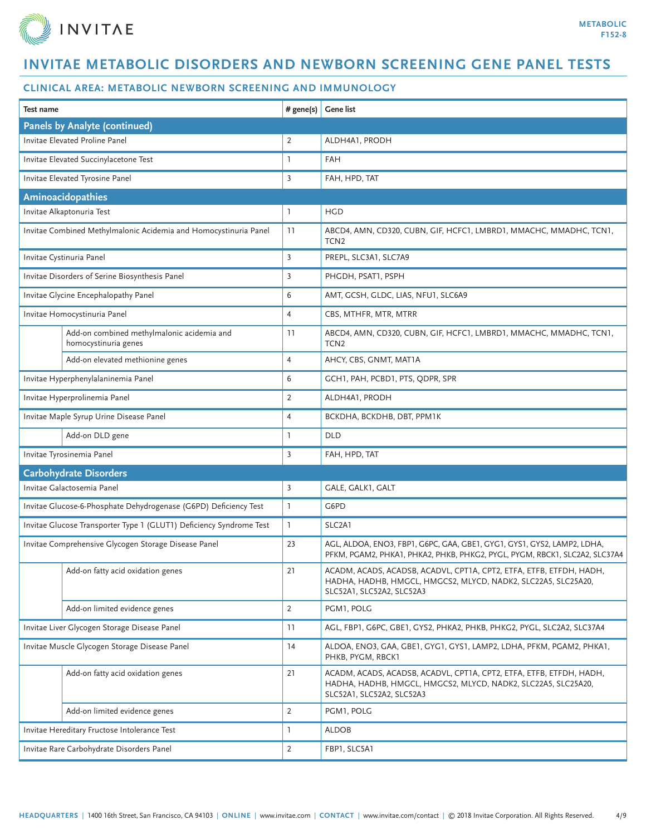

| Test name                                    |                                                                     | # gene(s)      | <b>Gene list</b>                                                                                                                                                  |
|----------------------------------------------|---------------------------------------------------------------------|----------------|-------------------------------------------------------------------------------------------------------------------------------------------------------------------|
|                                              | <b>Panels by Analyte (continued)</b>                                |                |                                                                                                                                                                   |
|                                              | Invitae Elevated Proline Panel                                      | 2              | ALDH4A1, PRODH                                                                                                                                                    |
|                                              | Invitae Elevated Succinylacetone Test                               | ı              | <b>FAH</b>                                                                                                                                                        |
|                                              | Invitae Elevated Tyrosine Panel                                     | $\overline{3}$ | FAH, HPD, TAT                                                                                                                                                     |
|                                              | Aminoacidopathies                                                   |                |                                                                                                                                                                   |
|                                              | Invitae Alkaptonuria Test                                           | 1              | <b>HGD</b>                                                                                                                                                        |
|                                              | Invitae Combined Methylmalonic Acidemia and Homocystinuria Panel    | 11             | ABCD4, AMN, CD320, CUBN, GIF, HCFC1, LMBRD1, MMACHC, MMADHC, TCN1,<br>TCN <sub>2</sub>                                                                            |
|                                              | Invitae Cystinuria Panel                                            | $\overline{3}$ | PREPL, SLC3A1, SLC7A9                                                                                                                                             |
|                                              | Invitae Disorders of Serine Biosynthesis Panel                      | 3              | PHGDH, PSAT1, PSPH                                                                                                                                                |
|                                              | Invitae Glycine Encephalopathy Panel                                | 6              | AMT, GCSH, GLDC, LIAS, NFU1, SLC6A9                                                                                                                               |
|                                              | Invitae Homocystinuria Panel                                        | $\overline{4}$ | CBS, MTHFR, MTR, MTRR                                                                                                                                             |
|                                              | Add-on combined methylmalonic acidemia and<br>homocystinuria genes  | 11             | ABCD4, AMN, CD320, CUBN, GIF, HCFC1, LMBRD1, MMACHC, MMADHC, TCN1,<br>TCN <sub>2</sub>                                                                            |
|                                              | Add-on elevated methionine genes                                    | $\overline{4}$ | AHCY, CBS, GNMT, MAT1A                                                                                                                                            |
|                                              | Invitae Hyperphenylalaninemia Panel                                 | 6              | GCH1, PAH, PCBD1, PTS, QDPR, SPR                                                                                                                                  |
|                                              | Invitae Hyperprolinemia Panel                                       | $\overline{2}$ | ALDH4A1, PRODH                                                                                                                                                    |
|                                              | Invitae Maple Syrup Urine Disease Panel                             | $\overline{4}$ | BCKDHA, BCKDHB, DBT, PPM1K                                                                                                                                        |
|                                              | Add-on DLD gene                                                     | 1              | <b>DLD</b>                                                                                                                                                        |
| Invitae Tyrosinemia Panel                    |                                                                     | $\overline{3}$ | FAH, HPD, TAT                                                                                                                                                     |
| <b>Carbohydrate Disorders</b>                |                                                                     |                |                                                                                                                                                                   |
|                                              | Invitae Galactosemia Panel                                          | 3              | GALE, GALK1, GALT                                                                                                                                                 |
|                                              | Invitae Glucose-6-Phosphate Dehydrogenase (G6PD) Deficiency Test    | $\mathbf{1}$   | G6PD                                                                                                                                                              |
|                                              | Invitae Glucose Transporter Type 1 (GLUT1) Deficiency Syndrome Test | $\mathbf{1}$   | SLC2A1                                                                                                                                                            |
|                                              | Invitae Comprehensive Glycogen Storage Disease Panel                | 23             | AGL, ALDOA, ENO3, FBP1, G6PC, GAA, GBE1, GYG1, GYS1, GYS2, LAMP2, LDHA,<br>PFKM, PGAM2, PHKA1, PHKA2, PHKB, PHKG2, PYGL, PYGM, RBCK1, SLC2A2, SLC37A4             |
|                                              | Add-on fatty acid oxidation genes                                   | 21             | ACADM, ACADS, ACADSB, ACADVL, CPT1A, CPT2, ETFA, ETFB, ETFDH, HADH<br>HADHA, HADHB, HMGCL, HMGCS2, MLYCD, NADK2, SLC22A5, SLC25A20,<br>SLC52A1, SLC52A2, SLC52A3  |
|                                              | Add-on limited evidence genes                                       | $\overline{2}$ | PGM1, POLG                                                                                                                                                        |
|                                              | Invitae Liver Glycogen Storage Disease Panel                        | 11             | AGL, FBP1, G6PC, GBE1, GYS2, PHKA2, PHKB, PHKG2, PYGL, SLC2A2, SLC37A4                                                                                            |
|                                              | Invitae Muscle Glycogen Storage Disease Panel                       | 14             | ALDOA, ENO3, GAA, GBE1, GYG1, GYS1, LAMP2, LDHA, PFKM, PGAM2, PHKA1,<br>PHKB, PYGM, RBCK1                                                                         |
|                                              | Add-on fatty acid oxidation genes                                   | 21             | ACADM, ACADS, ACADSB, ACADVL, CPT1A, CPT2, ETFA, ETFB, ETFDH, HADH,<br>HADHA, HADHB, HMGCL, HMGCS2, MLYCD, NADK2, SLC22A5, SLC25A20,<br>SLC52A1, SLC52A2, SLC52A3 |
|                                              | Add-on limited evidence genes                                       | $\overline{2}$ | PGM1, POLG                                                                                                                                                        |
| Invitae Hereditary Fructose Intolerance Test |                                                                     | 1              | <b>ALDOB</b>                                                                                                                                                      |
|                                              | Invitae Rare Carbohydrate Disorders Panel                           | 2              | FBP1, SLC5A1                                                                                                                                                      |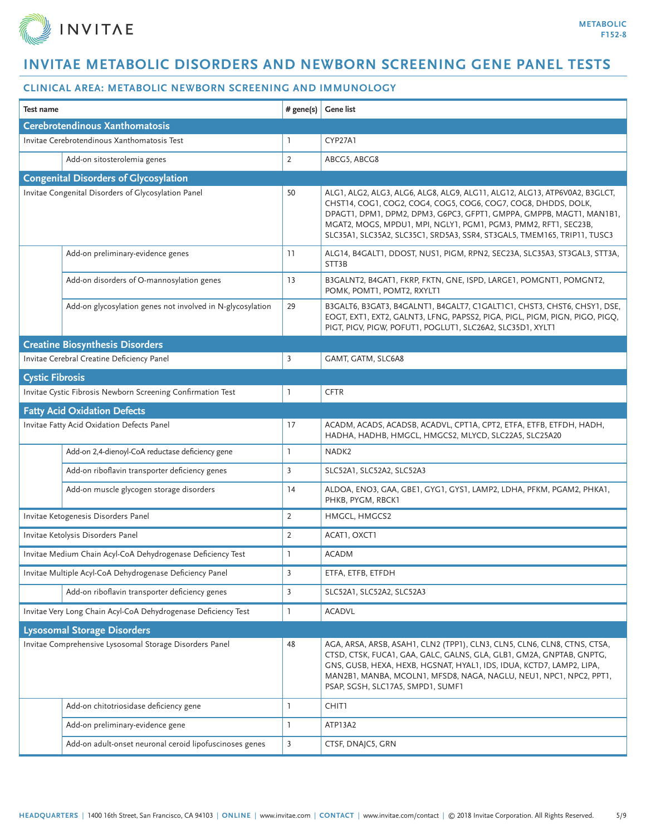

| <b>Test name</b>                   |                                                                | # gene(s)      | <b>Gene list</b>                                                                                                                                                                                                                                                                                                                                                    |  |  |
|------------------------------------|----------------------------------------------------------------|----------------|---------------------------------------------------------------------------------------------------------------------------------------------------------------------------------------------------------------------------------------------------------------------------------------------------------------------------------------------------------------------|--|--|
|                                    | <b>Cerebrotendinous Xanthomatosis</b>                          |                |                                                                                                                                                                                                                                                                                                                                                                     |  |  |
|                                    | Invitae Cerebrotendinous Xanthomatosis Test                    | 1              | CYP27A1                                                                                                                                                                                                                                                                                                                                                             |  |  |
|                                    | Add-on sitosterolemia genes                                    | $\overline{2}$ | ABCG5, ABCG8                                                                                                                                                                                                                                                                                                                                                        |  |  |
|                                    | <b>Congenital Disorders of Glycosylation</b>                   |                |                                                                                                                                                                                                                                                                                                                                                                     |  |  |
|                                    | Invitae Congenital Disorders of Glycosylation Panel            | 50             | ALG1, ALG2, ALG3, ALG6, ALG8, ALG9, ALG11, ALG12, ALG13, ATP6V0A2, B3GLCT,<br>CHST14, COG1, COG2, COG4, COG5, COG6, COG7, COG8, DHDDS, DOLK,<br>DPAGT1, DPM1, DPM2, DPM3, G6PC3, GFPT1, GMPPA, GMPPB, MAGT1, MAN1B1,<br>MGAT2, MOGS, MPDU1, MPI, NGLY1, PGM1, PGM3, PMM2, RFT1, SEC23B,<br>SLC35A1, SLC35A2, SLC35C1, SRD5A3, SSR4, ST3GAL5, TMEM165, TRIP11, TUSC3 |  |  |
|                                    | Add-on preliminary-evidence genes                              | 11             | ALG14, B4GALT1, DDOST, NUS1, PIGM, RPN2, SEC23A, SLC35A3, ST3GAL3, STT3A,<br>STT3B                                                                                                                                                                                                                                                                                  |  |  |
|                                    | Add-on disorders of O-mannosylation genes                      | 13             | B3GALNT2, B4GAT1, FKRP, FKTN, GNE, ISPD, LARGE1, POMGNT1, POMGNT2,<br>POMK, POMT1, POMT2, RXYLT1                                                                                                                                                                                                                                                                    |  |  |
|                                    | Add-on glycosylation genes not involved in N-glycosylation     | 29             | B3GALT6, B3GAT3, B4GALNT1, B4GALT7, C1GALT1C1, CHST3, CHST6, CHSY1, DSE,<br>EOGT, EXT1, EXT2, GALNT3, LFNG, PAPSS2, PIGA, PIGL, PIGM, PIGN, PIGO, PIGQ,<br>PIGT, PIGV, PIGW, POFUT1, POGLUT1, SLC26A2, SLC35D1, XYLT1                                                                                                                                               |  |  |
|                                    | <b>Creatine Biosynthesis Disorders</b>                         |                |                                                                                                                                                                                                                                                                                                                                                                     |  |  |
|                                    | Invitae Cerebral Creatine Deficiency Panel                     | 3              | GAMT, GATM, SLC6A8                                                                                                                                                                                                                                                                                                                                                  |  |  |
| <b>Cystic Fibrosis</b>             |                                                                |                |                                                                                                                                                                                                                                                                                                                                                                     |  |  |
|                                    | Invitae Cystic Fibrosis Newborn Screening Confirmation Test    | L              | <b>CFTR</b>                                                                                                                                                                                                                                                                                                                                                         |  |  |
|                                    | <b>Fatty Acid Oxidation Defects</b>                            |                |                                                                                                                                                                                                                                                                                                                                                                     |  |  |
|                                    | Invitae Fatty Acid Oxidation Defects Panel                     | 17             | ACADM, ACADS, ACADSB, ACADVL, CPT1A, CPT2, ETFA, ETFB, ETFDH, HADH,<br>HADHA, HADHB, HMGCL, HMGCS2, MLYCD, SLC22A5, SLC25A20                                                                                                                                                                                                                                        |  |  |
|                                    | Add-on 2,4-dienoyl-CoA reductase deficiency gene               | $\mathbf{1}$   | NADK <sub>2</sub>                                                                                                                                                                                                                                                                                                                                                   |  |  |
|                                    | Add-on riboflavin transporter deficiency genes                 | $\overline{3}$ | SLC52A1, SLC52A2, SLC52A3                                                                                                                                                                                                                                                                                                                                           |  |  |
|                                    | Add-on muscle glycogen storage disorders                       | 14             | ALDOA, ENO3, GAA, GBE1, GYG1, GYS1, LAMP2, LDHA, PFKM, PGAM2, PHKA1,<br>PHKB, PYGM, RBCK1                                                                                                                                                                                                                                                                           |  |  |
|                                    | Invitae Ketogenesis Disorders Panel                            | $\overline{2}$ | HMGCL, HMGCS2                                                                                                                                                                                                                                                                                                                                                       |  |  |
|                                    | Invitae Ketolysis Disorders Panel                              | $\overline{2}$ | ACAT1, OXCT1                                                                                                                                                                                                                                                                                                                                                        |  |  |
|                                    | Invitae Medium Chain Acyl-CoA Dehydrogenase Deficiency Test    | 1              | <b>ACADM</b>                                                                                                                                                                                                                                                                                                                                                        |  |  |
|                                    | Invitae Multiple Acyl-CoA Dehydrogenase Deficiency Panel       | 3              | ETFA, ETFB, ETFDH                                                                                                                                                                                                                                                                                                                                                   |  |  |
|                                    | Add-on riboflavin transporter deficiency genes                 | $\overline{3}$ | SLC52A1, SLC52A2, SLC52A3                                                                                                                                                                                                                                                                                                                                           |  |  |
|                                    | Invitae Very Long Chain Acyl-CoA Dehydrogenase Deficiency Test | 1              | <b>ACADVL</b>                                                                                                                                                                                                                                                                                                                                                       |  |  |
| <b>Lysosomal Storage Disorders</b> |                                                                |                |                                                                                                                                                                                                                                                                                                                                                                     |  |  |
|                                    | Invitae Comprehensive Lysosomal Storage Disorders Panel        | 48             | AGA, ARSA, ARSB, ASAH1, CLN2 (TPP1), CLN3, CLN5, CLN6, CLN8, CTNS, CTSA,<br>CTSD, CTSK, FUCA1, GAA, GALC, GALNS, GLA, GLB1, GM2A, GNPTAB, GNPTG,<br>GNS, GUSB, HEXA, HEXB, HGSNAT, HYAL1, IDS, IDUA, KCTD7, LAMP2, LIPA,<br>MAN2B1, MANBA, MCOLN1, MFSD8, NAGA, NAGLU, NEU1, NPC1, NPC2, PPT1,<br>PSAP, SGSH, SLC17A5, SMPD1, SUMF1                                 |  |  |
|                                    | Add-on chitotriosidase deficiency gene                         | 1              | CHIT1                                                                                                                                                                                                                                                                                                                                                               |  |  |
|                                    | Add-on preliminary-evidence gene                               | $\mathbf{1}$   | ATP13A2                                                                                                                                                                                                                                                                                                                                                             |  |  |
|                                    | Add-on adult-onset neuronal ceroid lipofuscinoses genes        | $\overline{3}$ | CTSF, DNAJC5, GRN                                                                                                                                                                                                                                                                                                                                                   |  |  |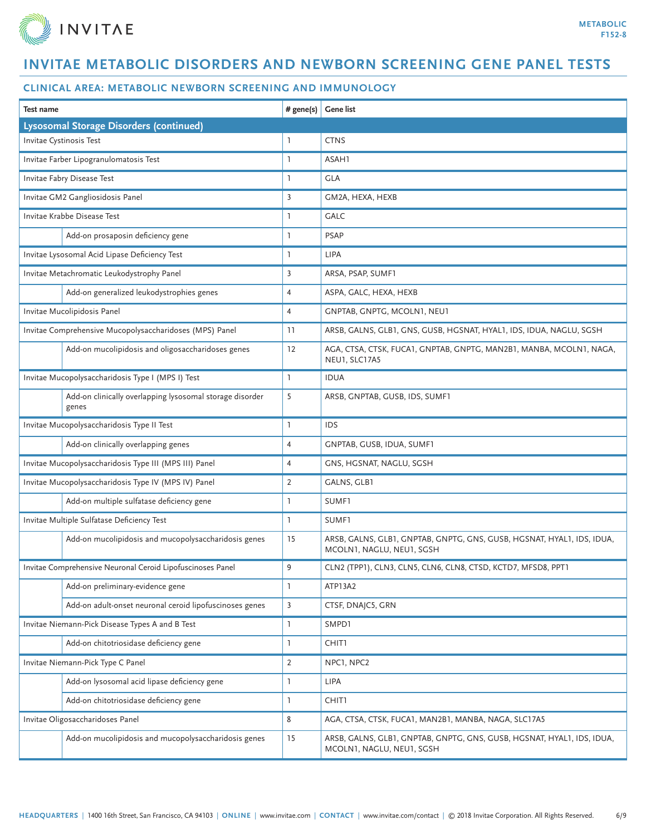

| # gene(s)<br>Test name                                            |                | <b>Gene list</b>                                                                                    |  |  |
|-------------------------------------------------------------------|----------------|-----------------------------------------------------------------------------------------------------|--|--|
| <b>Lysosomal Storage Disorders (continued)</b>                    |                |                                                                                                     |  |  |
| Invitae Cystinosis Test                                           | <b>T</b>       | <b>CTNS</b>                                                                                         |  |  |
| Invitae Farber Lipogranulomatosis Test                            | 1              | ASAH1                                                                                               |  |  |
| Invitae Fabry Disease Test                                        | 1              | <b>GLA</b>                                                                                          |  |  |
| Invitae GM2 Gangliosidosis Panel                                  | 3              | GM2A, HEXA, HEXB                                                                                    |  |  |
| Invitae Krabbe Disease Test                                       | 1              | <b>GALC</b>                                                                                         |  |  |
| Add-on prosaposin deficiency gene                                 | 1              | <b>PSAP</b>                                                                                         |  |  |
| Invitae Lysosomal Acid Lipase Deficiency Test                     | 1              | <b>LIPA</b>                                                                                         |  |  |
| Invitae Metachromatic Leukodystrophy Panel                        | 3              | ARSA, PSAP, SUMF1                                                                                   |  |  |
| Add-on generalized leukodystrophies genes                         | $\overline{4}$ | ASPA, GALC, HEXA, HEXB                                                                              |  |  |
| Invitae Mucolipidosis Panel                                       | $\overline{4}$ | GNPTAB, GNPTG, MCOLN1, NEU1                                                                         |  |  |
| Invitae Comprehensive Mucopolysaccharidoses (MPS) Panel           | 11             | ARSB, GALNS, GLB1, GNS, GUSB, HGSNAT, HYAL1, IDS, IDUA, NAGLU, SGSH                                 |  |  |
| Add-on mucolipidosis and oligosaccharidoses genes                 | 12             | AGA, CTSA, CTSK, FUCA1, GNPTAB, GNPTG, MAN2B1, MANBA, MCOLN1, NAGA,<br>NEU1, SLC17A5                |  |  |
| Invitae Mucopolysaccharidosis Type I (MPS I) Test                 | $\mathbf{1}$   | <b>IDUA</b>                                                                                         |  |  |
| Add-on clinically overlapping lysosomal storage disorder<br>genes | 5              | ARSB, GNPTAB, GUSB, IDS, SUMF1                                                                      |  |  |
| Invitae Mucopolysaccharidosis Type II Test                        |                | IDS                                                                                                 |  |  |
| Add-on clinically overlapping genes                               | $\overline{4}$ | GNPTAB, GUSB, IDUA, SUMF1                                                                           |  |  |
| Invitae Mucopolysaccharidosis Type III (MPS III) Panel            | $\overline{4}$ | GNS, HGSNAT, NAGLU, SGSH                                                                            |  |  |
| Invitae Mucopolysaccharidosis Type IV (MPS IV) Panel              | $\overline{2}$ | GALNS, GLB1                                                                                         |  |  |
| Add-on multiple sulfatase deficiency gene                         | 1              | SUMF1                                                                                               |  |  |
| Invitae Multiple Sulfatase Deficiency Test                        | $\mathbf{1}$   | SUMF1                                                                                               |  |  |
| Add-on mucolipidosis and mucopolysaccharidosis genes              | 15             | ARSB, GALNS, GLB1, GNPTAB, GNPTG, GNS, GUSB, HGSNAT, HYAL1, IDS, IDUA,<br>MCOLN1, NAGLU, NEU1, SGSH |  |  |
| Invitae Comprehensive Neuronal Ceroid Lipofuscinoses Panel        | 9              | CLN2 (TPP1), CLN3, CLN5, CLN6, CLN8, CTSD, KCTD7, MFSD8, PPT1                                       |  |  |
| Add-on preliminary-evidence gene                                  | $\mathbf{1}$   | ATP13A2                                                                                             |  |  |
| Add-on adult-onset neuronal ceroid lipofuscinoses genes           | $\overline{3}$ | CTSF, DNAJC5, GRN                                                                                   |  |  |
| Invitae Niemann-Pick Disease Types A and B Test                   | 1              | SMPD1                                                                                               |  |  |
| Add-on chitotriosidase deficiency gene                            | 1              | <b>CHIT1</b>                                                                                        |  |  |
| Invitae Niemann-Pick Type C Panel                                 | 2              | NPC1, NPC2                                                                                          |  |  |
| Add-on lysosomal acid lipase deficiency gene                      | 1              | LIPA                                                                                                |  |  |
| Add-on chitotriosidase deficiency gene                            | 1              | CHIT1                                                                                               |  |  |
| Invitae Oligosaccharidoses Panel                                  | 8              | AGA, CTSA, CTSK, FUCA1, MAN2B1, MANBA, NAGA, SLC17A5                                                |  |  |
| Add-on mucolipidosis and mucopolysaccharidosis genes              | 15             | ARSB, GALNS, GLB1, GNPTAB, GNPTG, GNS, GUSB, HGSNAT, HYAL1, IDS, IDUA,<br>MCOLN1, NAGLU, NEU1, SGSH |  |  |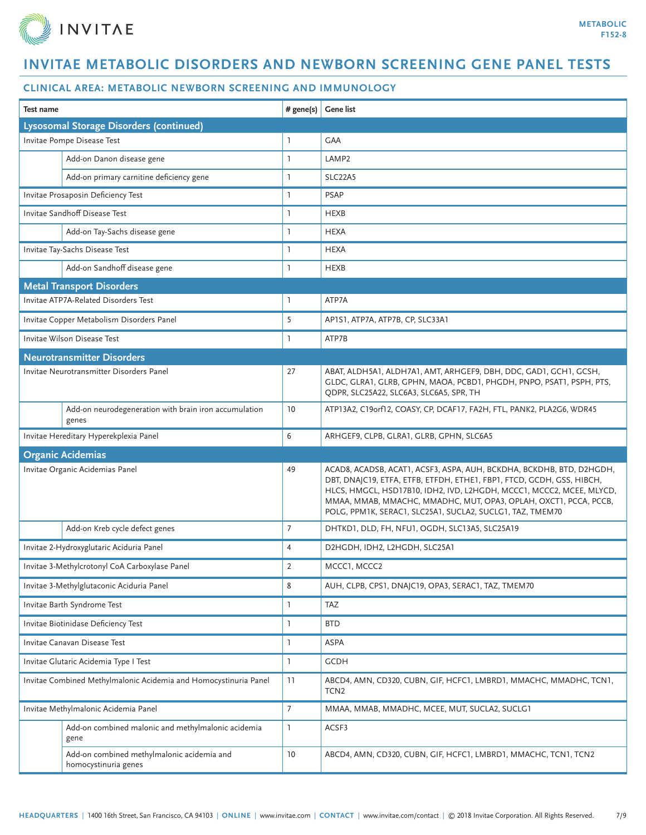

| Test name                             |                                                                    | # gene(s)      | <b>Gene list</b>                                                                                                                                                                                                                                                                                                                                       |
|---------------------------------------|--------------------------------------------------------------------|----------------|--------------------------------------------------------------------------------------------------------------------------------------------------------------------------------------------------------------------------------------------------------------------------------------------------------------------------------------------------------|
|                                       | <b>Lysosomal Storage Disorders (continued)</b>                     |                |                                                                                                                                                                                                                                                                                                                                                        |
|                                       | Invitae Pompe Disease Test                                         | 1              | <b>GAA</b>                                                                                                                                                                                                                                                                                                                                             |
|                                       | Add-on Danon disease gene                                          | $\mathbf{1}$   | LAMP <sub>2</sub>                                                                                                                                                                                                                                                                                                                                      |
|                                       | Add-on primary carnitine deficiency gene                           | $\mathbf{1}$   | SLC22A5                                                                                                                                                                                                                                                                                                                                                |
|                                       | Invitae Prosaposin Deficiency Test                                 | 1              | <b>PSAP</b>                                                                                                                                                                                                                                                                                                                                            |
|                                       | Invitae Sandhoff Disease Test                                      | $\mathbf{1}$   | <b>HEXB</b>                                                                                                                                                                                                                                                                                                                                            |
|                                       | Add-on Tay-Sachs disease gene                                      | $\mathbf{1}$   | <b>HEXA</b>                                                                                                                                                                                                                                                                                                                                            |
|                                       | Invitae Tay-Sachs Disease Test                                     | $\mathbf{1}$   | <b>HEXA</b>                                                                                                                                                                                                                                                                                                                                            |
|                                       | Add-on Sandhoff disease gene                                       | 1              | <b>HEXB</b>                                                                                                                                                                                                                                                                                                                                            |
|                                       | <b>Metal Transport Disorders</b>                                   |                |                                                                                                                                                                                                                                                                                                                                                        |
|                                       | Invitae ATP7A-Related Disorders Test                               | $\mathbf{1}$   | ATP7A                                                                                                                                                                                                                                                                                                                                                  |
|                                       | Invitae Copper Metabolism Disorders Panel                          | 5              | AP1S1, ATP7A, ATP7B, CP, SLC33A1                                                                                                                                                                                                                                                                                                                       |
|                                       | Invitae Wilson Disease Test                                        | L              | ATP7B                                                                                                                                                                                                                                                                                                                                                  |
|                                       | <b>Neurotransmitter Disorders</b>                                  |                |                                                                                                                                                                                                                                                                                                                                                        |
|                                       | Invitae Neurotransmitter Disorders Panel                           | 27             | ABAT, ALDH5A1, ALDH7A1, AMT, ARHGEF9, DBH, DDC, GAD1, GCH1, GCSH,<br>GLDC, GLRA1, GLRB, GPHN, MAOA, PCBD1, PHGDH, PNPO, PSAT1, PSPH, PTS,<br>QDPR, SLC25A22, SLC6A3, SLC6A5, SPR, TH                                                                                                                                                                   |
|                                       | Add-on neurodegeneration with brain iron accumulation<br>genes     | 10             | ATP13A2, C19orf12, COASY, CP, DCAF17, FA2H, FTL, PANK2, PLA2G6, WDR45                                                                                                                                                                                                                                                                                  |
|                                       | Invitae Hereditary Hyperekplexia Panel                             | 6              | ARHGEF9, CLPB, GLRA1, GLRB, GPHN, SLC6A5                                                                                                                                                                                                                                                                                                               |
| <b>Organic Acidemias</b>              |                                                                    |                |                                                                                                                                                                                                                                                                                                                                                        |
|                                       | Invitae Organic Acidemias Panel                                    | 49             | ACAD8, ACADSB, ACAT1, ACSF3, ASPA, AUH, BCKDHA, BCKDHB, BTD, D2HGDH,<br>DBT, DNAJC19, ETFA, ETFB, ETFDH, ETHE1, FBP1, FTCD, GCDH, GSS, HIBCH,<br>HLCS, HMGCL, HSD17B10, IDH2, IVD, L2HGDH, MCCC1, MCCC2, MCEE, MLYCD,<br>MMAA, MMAB, MMACHC, MMADHC, MUT, OPA3, OPLAH, OXCT1, PCCA, PCCB,<br>POLG, PPM1K, SERAC1, SLC25A1, SUCLA2, SUCLG1, TAZ, TMEM70 |
|                                       | Add-on Kreb cycle defect genes                                     | $\overline{7}$ | DHTKD1, DLD, FH, NFU1, OGDH, SLC13A5, SLC25A19                                                                                                                                                                                                                                                                                                         |
|                                       | Invitae 2-Hydroxyglutaric Aciduria Panel                           | $\overline{4}$ | D2HGDH, IDH2, L2HGDH, SLC25A1                                                                                                                                                                                                                                                                                                                          |
|                                       | Invitae 3-Methylcrotonyl CoA Carboxylase Panel                     | $\overline{2}$ | MCCC1, MCCC2                                                                                                                                                                                                                                                                                                                                           |
|                                       | Invitae 3-Methylglutaconic Aciduria Panel                          | 8              | AUH, CLPB, CPS1, DNAJC19, OPA3, SERAC1, TAZ, TMEM70                                                                                                                                                                                                                                                                                                    |
|                                       | Invitae Barth Syndrome Test                                        | $\mathbf{1}$   | <b>TAZ</b>                                                                                                                                                                                                                                                                                                                                             |
|                                       | Invitae Biotinidase Deficiency Test                                | $\mathbf{1}$   | <b>BTD</b>                                                                                                                                                                                                                                                                                                                                             |
| Invitae Canavan Disease Test          |                                                                    | 1              | ASPA                                                                                                                                                                                                                                                                                                                                                   |
| Invitae Glutaric Acidemia Type I Test |                                                                    | $\mathbf{1}$   | <b>GCDH</b>                                                                                                                                                                                                                                                                                                                                            |
|                                       | Invitae Combined Methylmalonic Acidemia and Homocystinuria Panel   | 11             | ABCD4, AMN, CD320, CUBN, GIF, HCFC1, LMBRD1, MMACHC, MMADHC, TCN1,<br>TCN <sub>2</sub>                                                                                                                                                                                                                                                                 |
| Invitae Methylmalonic Acidemia Panel  |                                                                    | $\overline{7}$ | MMAA, MMAB, MMADHC, MCEE, MUT, SUCLA2, SUCLG1                                                                                                                                                                                                                                                                                                          |
|                                       | Add-on combined malonic and methylmalonic acidemia<br>gene         | $\mathbb{I}$   | ACSF3                                                                                                                                                                                                                                                                                                                                                  |
|                                       | Add-on combined methylmalonic acidemia and<br>homocystinuria genes | 10             | ABCD4, AMN, CD320, CUBN, GIF, HCFC1, LMBRD1, MMACHC, TCN1, TCN2                                                                                                                                                                                                                                                                                        |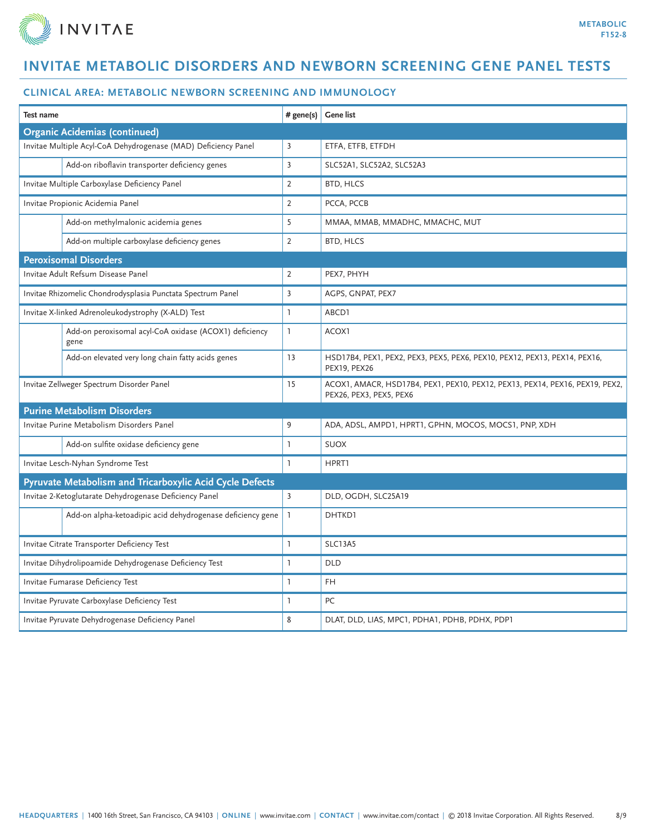

| <b>Test name</b>                                       |                                                                | # gene(s)      | <b>Gene list</b>                                                                                        |
|--------------------------------------------------------|----------------------------------------------------------------|----------------|---------------------------------------------------------------------------------------------------------|
|                                                        | <b>Organic Acidemias (continued)</b>                           |                |                                                                                                         |
|                                                        | Invitae Multiple Acyl-CoA Dehydrogenase (MAD) Deficiency Panel | 3              | ETFA, ETFB, ETFDH                                                                                       |
|                                                        | Add-on riboflavin transporter deficiency genes                 | $\overline{3}$ | SLC52A1, SLC52A2, SLC52A3                                                                               |
|                                                        | Invitae Multiple Carboxylase Deficiency Panel                  | $\overline{2}$ | <b>BTD, HLCS</b>                                                                                        |
|                                                        | Invitae Propionic Acidemia Panel                               | $\overline{2}$ | PCCA, PCCB                                                                                              |
|                                                        | Add-on methylmalonic acidemia genes                            | 5              | MMAA, MMAB, MMADHC, MMACHC, MUT                                                                         |
|                                                        | Add-on multiple carboxylase deficiency genes                   | 2              | BTD, HLCS                                                                                               |
|                                                        | <b>Peroxisomal Disorders</b>                                   |                |                                                                                                         |
|                                                        | Invitae Adult Refsum Disease Panel                             | 2              | PEX7, PHYH                                                                                              |
|                                                        | Invitae Rhizomelic Chondrodysplasia Punctata Spectrum Panel    | $\overline{3}$ | AGPS, GNPAT, PEX7                                                                                       |
|                                                        | Invitae X-linked Adrenoleukodystrophy (X-ALD) Test             | $\mathbf{1}$   | ABCD1                                                                                                   |
|                                                        | Add-on peroxisomal acyl-CoA oxidase (ACOX1) deficiency<br>gene | $\mathbf{1}$   | ACOX1                                                                                                   |
|                                                        | Add-on elevated very long chain fatty acids genes              | 13             | HSD17B4, PEX1, PEX2, PEX3, PEX5, PEX6, PEX10, PEX12, PEX13, PEX14, PEX16,<br>PEX19, PEX26               |
| Invitae Zellweger Spectrum Disorder Panel              |                                                                | 15             | ACOX1, AMACR, HSD17B4, PEX1, PEX10, PEX12, PEX13, PEX14, PEX16, PEX19, PEX2,<br>PEX26, PEX3, PEX5, PEX6 |
| <b>Purine Metabolism Disorders</b>                     |                                                                |                |                                                                                                         |
|                                                        | Invitae Purine Metabolism Disorders Panel                      | 9              | ADA, ADSL, AMPD1, HPRT1, GPHN, MOCOS, MOCS1, PNP, XDH                                                   |
|                                                        | Add-on sulfite oxidase deficiency gene                         | $\mathbf{1}$   | <b>SUOX</b>                                                                                             |
|                                                        | Invitae Lesch-Nyhan Syndrome Test                              | $\mathbf{1}$   | HPRT1                                                                                                   |
|                                                        | Pyruvate Metabolism and Tricarboxylic Acid Cycle Defects       |                |                                                                                                         |
|                                                        | Invitae 2-Ketoglutarate Dehydrogenase Deficiency Panel         | $\overline{3}$ | DLD, OGDH, SLC25A19                                                                                     |
|                                                        | Add-on alpha-ketoadipic acid dehydrogenase deficiency gene     | $\mathbf{1}$   | DHTKD1                                                                                                  |
|                                                        | Invitae Citrate Transporter Deficiency Test                    | $\mathbf{1}$   | <b>SLC13A5</b>                                                                                          |
| Invitae Dihydrolipoamide Dehydrogenase Deficiency Test |                                                                | $\mathbf{1}$   | <b>DLD</b>                                                                                              |
|                                                        | Invitae Fumarase Deficiency Test                               | $\mathbf{1}$   | FH.                                                                                                     |
|                                                        | Invitae Pyruvate Carboxylase Deficiency Test                   | $\mathbf{1}$   | PC                                                                                                      |
|                                                        | Invitae Pyruvate Dehydrogenase Deficiency Panel                | 8              | DLAT, DLD, LIAS, MPC1, PDHA1, PDHB, PDHX, PDP1                                                          |